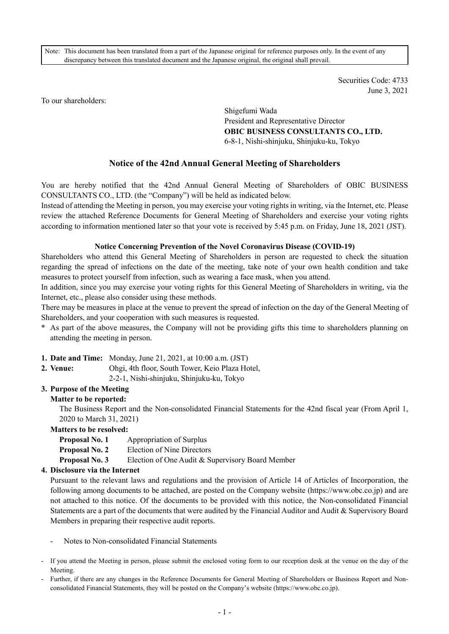Note: This document has been translated from a part of the Japanese original for reference purposes only. In the event of any discrepancy between this translated document and the Japanese original, the original shall prevail.

> Securities Code: 4733 June 3, 2021

To our shareholders:

Shigefumi Wada President and Representative Director **OBIC BUSINESS CONSULTANTS CO., LTD.**  6-8-1, Nishi-shinjuku, Shinjuku-ku, Tokyo

# **Notice of the 42nd Annual General Meeting of Shareholders**

You are hereby notified that the 42nd Annual General Meeting of Shareholders of OBIC BUSINESS CONSULTANTS CO., LTD. (the "Company") will be held as indicated below.

Instead of attending the Meeting in person, you may exercise your voting rights in writing, via the Internet, etc. Please review the attached Reference Documents for General Meeting of Shareholders and exercise your voting rights according to information mentioned later so that your vote is received by 5:45 p.m. on Friday, June 18, 2021 (JST).

#### **Notice Concerning Prevention of the Novel Coronavirus Disease (COVID-19)**

Shareholders who attend this General Meeting of Shareholders in person are requested to check the situation regarding the spread of infections on the date of the meeting, take note of your own health condition and take measures to protect yourself from infection, such as wearing a face mask, when you attend.

In addition, since you may exercise your voting rights for this General Meeting of Shareholders in writing, via the Internet, etc., please also consider using these methods.

There may be measures in place at the venue to prevent the spread of infection on the day of the General Meeting of Shareholders, and your cooperation with such measures is requested.

- \* As part of the above measures, the Company will not be providing gifts this time to shareholders planning on attending the meeting in person.
- **1. Date and Time:** Monday, June 21, 2021, at 10:00 a.m. (JST)
- **2. Venue:** Ohgi, 4th floor, South Tower, Keio Plaza Hotel,

2-2-1, Nishi-shinjuku, Shinjuku-ku, Tokyo

## **3. Purpose of the Meeting**

#### **Matter to be reported:**

The Business Report and the Non-consolidated Financial Statements for the 42nd fiscal year (From April 1, 2020 to March 31, 2021)

#### **Matters to be resolved:**

- **Proposal No. 1** Appropriation of Surplus
- **Proposal No. 2** Election of Nine Directors
- **Proposal No. 3** Election of One Audit & Supervisory Board Member

#### **4. Disclosure via the Internet**

Pursuant to the relevant laws and regulations and the provision of Article 14 of Articles of Incorporation, the following among documents to be attached, are posted on the Company website (https://www.obc.co.jp) and are not attached to this notice. Of the documents to be provided with this notice, the Non-consolidated Financial Statements are a part of the documents that were audited by the Financial Auditor and Audit & Supervisory Board Members in preparing their respective audit reports.

- Notes to Non-consolidated Financial Statements
- If you attend the Meeting in person, please submit the enclosed voting form to our reception desk at the venue on the day of the Meeting.
- Further, if there are any changes in the Reference Documents for General Meeting of Shareholders or Business Report and Nonconsolidated Financial Statements, they will be posted on the Company's website (https://www.obc.co.jp).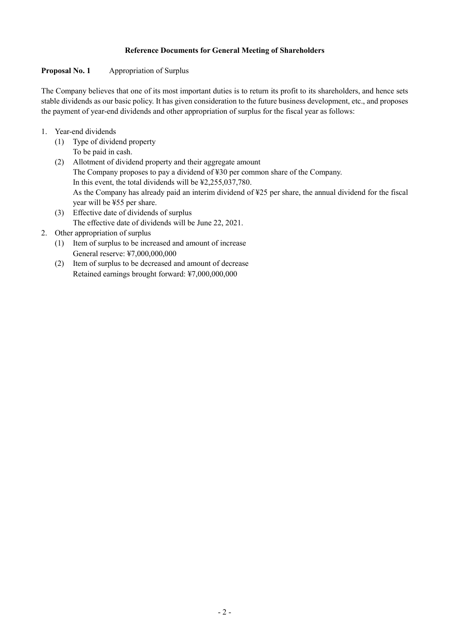## **Reference Documents for General Meeting of Shareholders**

## **Proposal No. 1 Appropriation of Surplus**

The Company believes that one of its most important duties is to return its profit to its shareholders, and hence sets stable dividends as our basic policy. It has given consideration to the future business development, etc., and proposes the payment of year-end dividends and other appropriation of surplus for the fiscal year as follows:

- 1. Year-end dividends
	- (1) Type of dividend property To be paid in cash.
	- (2) Allotment of dividend property and their aggregate amount The Company proposes to pay a dividend of ¥30 per common share of the Company. In this event, the total dividends will be ¥2,255,037,780. As the Company has already paid an interim dividend of ¥25 per share, the annual dividend for the fiscal year will be ¥55 per share.
	- (3) Effective date of dividends of surplus The effective date of dividends will be June 22, 2021.

# 2. Other appropriation of surplus

- (1) Item of surplus to be increased and amount of increase General reserve: ¥7,000,000,000
- (2) Item of surplus to be decreased and amount of decrease Retained earnings brought forward: ¥7,000,000,000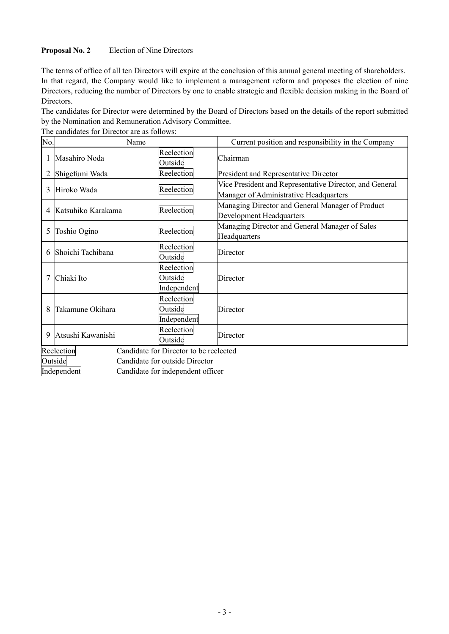## **Proposal No. 2** Election of Nine Directors

The terms of office of all ten Directors will expire at the conclusion of this annual general meeting of shareholders. In that regard, the Company would like to implement a management reform and proposes the election of nine Directors, reducing the number of Directors by one to enable strategic and flexible decision making in the Board of Directors.

The candidates for Director were determined by the Board of Directors based on the details of the report submitted by the Nomination and Remuneration Advisory Committee.

| No.            | Name                                                 |                                      | Current position and responsibility in the Company                                                |  |  |
|----------------|------------------------------------------------------|--------------------------------------|---------------------------------------------------------------------------------------------------|--|--|
|                | Masahiro Noda                                        | Reelection<br>Outside                | Chairman                                                                                          |  |  |
| $\overline{2}$ | Shigefumi Wada                                       | Reelection                           | President and Representative Director                                                             |  |  |
| 3              | Hiroko Wada                                          | Reelection                           | Vice President and Representative Director, and General<br>Manager of Administrative Headquarters |  |  |
| 4              | Katsuhiko Karakama                                   | Reelection                           | Managing Director and General Manager of Product<br>Development Headquarters                      |  |  |
| 5              | Toshio Ogino                                         | Reelection                           | Managing Director and General Manager of Sales<br>Headquarters                                    |  |  |
| 6              | Shoichi Tachibana                                    | Reelection<br>Outside                | Director                                                                                          |  |  |
|                | Chiaki Ito                                           | Reelection<br>Outside<br>Independent | Director                                                                                          |  |  |
| 8              | Takamune Okihara                                     | Reelection<br>Outside<br>Independent | Director                                                                                          |  |  |
| 9              | Atsushi Kawanishi                                    | Reelection<br>Outside                | Director                                                                                          |  |  |
|                | Candidate for Director to be reelected<br>Reelection |                                      |                                                                                                   |  |  |

The candidates for Director are as follows:

Outside Candidate for outside Director

Independent Candidate for independent officer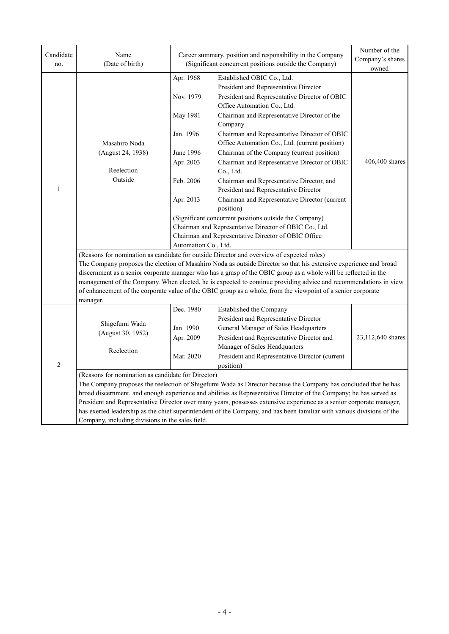| Candidate<br>no. | Name<br>(Date of birth)                                                                                                                                                                                                                                                                                                                                                                                                                                                                                                                                                                           |                                                                                                                             | Career summary, position and responsibility in the Company<br>(Significant concurrent positions outside the Company)                                                                                                                                                                                                                                                                                                                                                                                                                                                                                                                                                                                                                                      | Number of the<br>Company's shares<br>owned |  |
|------------------|---------------------------------------------------------------------------------------------------------------------------------------------------------------------------------------------------------------------------------------------------------------------------------------------------------------------------------------------------------------------------------------------------------------------------------------------------------------------------------------------------------------------------------------------------------------------------------------------------|-----------------------------------------------------------------------------------------------------------------------------|-----------------------------------------------------------------------------------------------------------------------------------------------------------------------------------------------------------------------------------------------------------------------------------------------------------------------------------------------------------------------------------------------------------------------------------------------------------------------------------------------------------------------------------------------------------------------------------------------------------------------------------------------------------------------------------------------------------------------------------------------------------|--------------------------------------------|--|
| $\mathbf{1}$     | Masahiro Noda<br>(August 24, 1938)<br>Reelection<br>Outside                                                                                                                                                                                                                                                                                                                                                                                                                                                                                                                                       | Apr. 1968<br>Nov. 1979<br>May 1981<br>Jan. 1996<br>June 1996<br>Apr. 2003<br>Feb. 2006<br>Apr. 2013<br>Automation Co., Ltd. | Established OBIC Co., Ltd.<br>President and Representative Director<br>President and Representative Director of OBIC<br>Office Automation Co., Ltd.<br>Chairman and Representative Director of the<br>Company<br>Chairman and Representative Director of OBIC<br>Office Automation Co., Ltd. (current position)<br>Chairman of the Company (current position)<br>Chairman and Representative Director of OBIC<br>Co., Ltd.<br>Chairman and Representative Director, and<br>President and Representative Director<br>Chairman and Representative Director (current<br>position)<br>(Significant concurrent positions outside the Company)<br>Chairman and Representative Director of OBIC Co., Ltd.<br>Chairman and Representative Director of OBIC Office | 406,400 shares                             |  |
|                  | (Reasons for nomination as candidate for outside Director and overview of expected roles)<br>The Company proposes the election of Masahiro Noda as outside Director so that his extensive experience and broad<br>discernment as a senior corporate manager who has a grasp of the OBIC group as a whole will be reflected in the<br>management of the Company. When elected, he is expected to continue providing advice and recommendations in view<br>of enhancement of the corporate value of the OBIC group as a whole, from the viewpoint of a senior corporate<br>manager.                 |                                                                                                                             |                                                                                                                                                                                                                                                                                                                                                                                                                                                                                                                                                                                                                                                                                                                                                           |                                            |  |
| $\sqrt{2}$       | Shigefumi Wada<br>(August 30, 1952)<br>Reelection                                                                                                                                                                                                                                                                                                                                                                                                                                                                                                                                                 | Dec. 1980<br>Jan. 1990<br>Apr. 2009<br>Mar. 2020                                                                            | Established the Company<br>President and Representative Director<br>General Manager of Sales Headquarters<br>President and Representative Director and<br>Manager of Sales Headquarters<br>President and Representative Director (current<br>position)                                                                                                                                                                                                                                                                                                                                                                                                                                                                                                    | 23,112,640 shares                          |  |
|                  | (Reasons for nomination as candidate for Director)<br>The Company proposes the reelection of Shigefumi Wada as Director because the Company has concluded that he has<br>broad discernment, and enough experience and abilities as Representative Director of the Company; he has served as<br>President and Representative Director over many years, possesses extensive experience as a senior corporate manager,<br>has exerted leadership as the chief superintendent of the Company, and has been familiar with various divisions of the<br>Company, including divisions in the sales field. |                                                                                                                             |                                                                                                                                                                                                                                                                                                                                                                                                                                                                                                                                                                                                                                                                                                                                                           |                                            |  |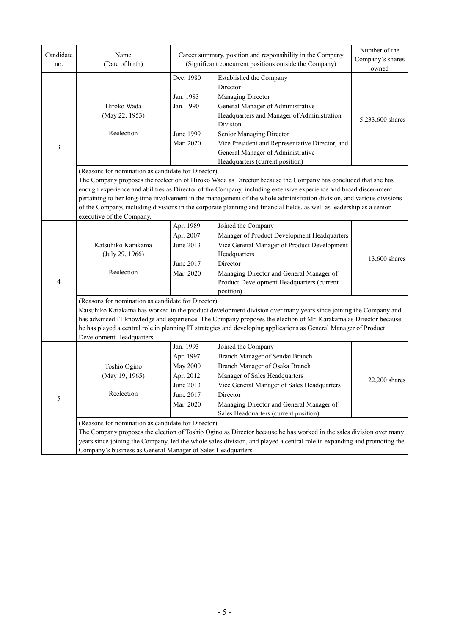| Candidate | Name                                                                                                                                                                                                                                                                                                                                                                                                                                                                                                                                                                   | Career summary, position and responsibility in the Company                                    |                                                                                                                                                                                                                                                                             | Number of the<br>Company's shares |  |  |
|-----------|------------------------------------------------------------------------------------------------------------------------------------------------------------------------------------------------------------------------------------------------------------------------------------------------------------------------------------------------------------------------------------------------------------------------------------------------------------------------------------------------------------------------------------------------------------------------|-----------------------------------------------------------------------------------------------|-----------------------------------------------------------------------------------------------------------------------------------------------------------------------------------------------------------------------------------------------------------------------------|-----------------------------------|--|--|
| no.       | (Date of birth)                                                                                                                                                                                                                                                                                                                                                                                                                                                                                                                                                        | (Significant concurrent positions outside the Company)                                        |                                                                                                                                                                                                                                                                             | owned                             |  |  |
| 3         | Hiroko Wada<br>(May 22, 1953)<br>Reelection                                                                                                                                                                                                                                                                                                                                                                                                                                                                                                                            | Dec. 1980<br>Jan. 1983<br>Jan. 1990<br>June 1999<br>Mar. 2020                                 | Established the Company<br>Director<br>Managing Director<br>General Manager of Administrative<br>Headquarters and Manager of Administration<br>Division<br>Senior Managing Director<br>Vice President and Representative Director, and<br>General Manager of Administrative | 5,233,600 shares                  |  |  |
|           |                                                                                                                                                                                                                                                                                                                                                                                                                                                                                                                                                                        |                                                                                               | Headquarters (current position)                                                                                                                                                                                                                                             |                                   |  |  |
|           | (Reasons for nomination as candidate for Director)<br>The Company proposes the reelection of Hiroko Wada as Director because the Company has concluded that she has<br>enough experience and abilities as Director of the Company, including extensive experience and broad discernment<br>pertaining to her long-time involvement in the management of the whole administration division, and various divisions<br>of the Company, including divisions in the corporate planning and financial fields, as well as leadership as a senior<br>executive of the Company. |                                                                                               |                                                                                                                                                                                                                                                                             |                                   |  |  |
| 4         | Katsuhiko Karakama<br>(July 29, 1966)<br>Reelection                                                                                                                                                                                                                                                                                                                                                                                                                                                                                                                    | Apr. 1989<br>Apr. 2007<br>June 2013<br>June 2017<br>Mar. 2020                                 | Joined the Company<br>Manager of Product Development Headquarters<br>Vice General Manager of Product Development<br>Headquarters<br>Director<br>Managing Director and General Manager of<br>Product Development Headquarters (current<br>position)                          | 13,600 shares                     |  |  |
|           | (Reasons for nomination as candidate for Director)<br>Katsuhiko Karakama has worked in the product development division over many years since joining the Company and<br>has advanced IT knowledge and experience. The Company proposes the election of Mr. Karakama as Director because<br>he has played a central role in planning IT strategies and developing applications as General Manager of Product<br>Development Headquarters.                                                                                                                              |                                                                                               |                                                                                                                                                                                                                                                                             |                                   |  |  |
| 5         | Toshio Ogino<br>(May 19, 1965)<br>Reelection                                                                                                                                                                                                                                                                                                                                                                                                                                                                                                                           | Jan. 1993<br>Apr. 1997<br><b>May 2000</b><br>Apr. 2012<br>June 2013<br>June 2017<br>Mar. 2020 | Joined the Company<br>Branch Manager of Sendai Branch<br>Branch Manager of Osaka Branch<br>Manager of Sales Headquarters<br>Vice General Manager of Sales Headquarters<br>Director<br>Managing Director and General Manager of<br>Sales Headquarters (current position)     | $22,200$ shares                   |  |  |
|           | (Reasons for nomination as candidate for Director)<br>The Company proposes the election of Toshio Ogino as Director because he has worked in the sales division over many<br>years since joining the Company, led the whole sales division, and played a central role in expanding and promoting the<br>Company's business as General Manager of Sales Headquarters.                                                                                                                                                                                                   |                                                                                               |                                                                                                                                                                                                                                                                             |                                   |  |  |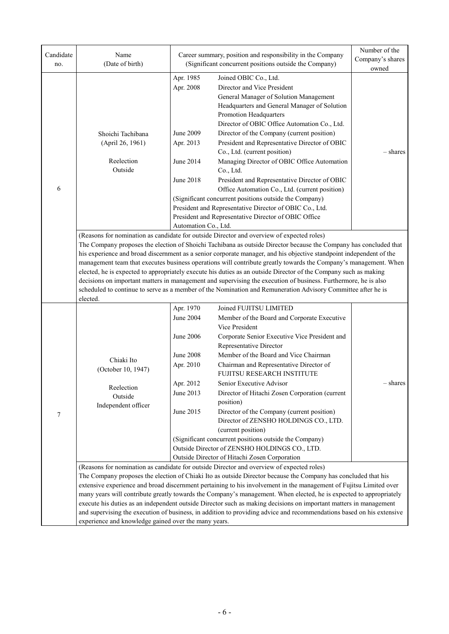| Candidate<br>no. | Name<br>(Date of birth)                                                                                                                                                                                                                                                                                                                                                                                                                                                                                                                                                                                                                                                                                                                                                                                                      |                                                                                                                                                                                | Career summary, position and responsibility in the Company<br>(Significant concurrent positions outside the Company)                                                                                                     | Number of the<br>Company's shares<br>owned |  |
|------------------|------------------------------------------------------------------------------------------------------------------------------------------------------------------------------------------------------------------------------------------------------------------------------------------------------------------------------------------------------------------------------------------------------------------------------------------------------------------------------------------------------------------------------------------------------------------------------------------------------------------------------------------------------------------------------------------------------------------------------------------------------------------------------------------------------------------------------|--------------------------------------------------------------------------------------------------------------------------------------------------------------------------------|--------------------------------------------------------------------------------------------------------------------------------------------------------------------------------------------------------------------------|--------------------------------------------|--|
|                  |                                                                                                                                                                                                                                                                                                                                                                                                                                                                                                                                                                                                                                                                                                                                                                                                                              | Apr. 1985<br>Apr. 2008                                                                                                                                                         | Joined OBIC Co., Ltd.<br>Director and Vice President<br>General Manager of Solution Management<br>Headquarters and General Manager of Solution<br>Promotion Headquarters<br>Director of OBIC Office Automation Co., Ltd. |                                            |  |
|                  | Shoichi Tachibana<br>(April 26, 1961)                                                                                                                                                                                                                                                                                                                                                                                                                                                                                                                                                                                                                                                                                                                                                                                        | June 2009<br>Apr. 2013                                                                                                                                                         | Director of the Company (current position)<br>President and Representative Director of OBIC                                                                                                                              |                                            |  |
|                  | Reelection<br>Outside                                                                                                                                                                                                                                                                                                                                                                                                                                                                                                                                                                                                                                                                                                                                                                                                        | June 2014                                                                                                                                                                      | Co., Ltd. (current position)<br>Managing Director of OBIC Office Automation<br>Co., Ltd.                                                                                                                                 | – shares                                   |  |
| 6                |                                                                                                                                                                                                                                                                                                                                                                                                                                                                                                                                                                                                                                                                                                                                                                                                                              | <b>June 2018</b>                                                                                                                                                               | President and Representative Director of OBIC<br>Office Automation Co., Ltd. (current position)<br>(Significant concurrent positions outside the Company)<br>President and Representative Director of OBIC Co., Ltd.     |                                            |  |
|                  |                                                                                                                                                                                                                                                                                                                                                                                                                                                                                                                                                                                                                                                                                                                                                                                                                              | Automation Co., Ltd.                                                                                                                                                           | President and Representative Director of OBIC Office                                                                                                                                                                     |                                            |  |
|                  | (Reasons for nomination as candidate for outside Director and overview of expected roles)<br>The Company proposes the election of Shoichi Tachibana as outside Director because the Company has concluded that<br>his experience and broad discernment as a senior corporate manager, and his objective standpoint independent of the<br>management team that executes business operations will contribute greatly towards the Company's management. When<br>elected, he is expected to appropriately execute his duties as an outside Director of the Company such as making<br>decisions on important matters in management and supervising the execution of business. Furthermore, he is also<br>scheduled to continue to serve as a member of the Nomination and Remuneration Advisory Committee after he is<br>elected. |                                                                                                                                                                                |                                                                                                                                                                                                                          |                                            |  |
|                  |                                                                                                                                                                                                                                                                                                                                                                                                                                                                                                                                                                                                                                                                                                                                                                                                                              | Apr. 1970<br><b>June 2004</b>                                                                                                                                                  | Joined FUJITSU LIMITED<br>Member of the Board and Corporate Executive<br>Vice President                                                                                                                                  |                                            |  |
|                  |                                                                                                                                                                                                                                                                                                                                                                                                                                                                                                                                                                                                                                                                                                                                                                                                                              | <b>June 2006</b>                                                                                                                                                               | Corporate Senior Executive Vice President and<br>Representative Director                                                                                                                                                 |                                            |  |
|                  | Chiaki Ito<br>(October 10, 1947)                                                                                                                                                                                                                                                                                                                                                                                                                                                                                                                                                                                                                                                                                                                                                                                             | <b>June 2008</b><br>Apr. 2010                                                                                                                                                  | Member of the Board and Vice Chairman<br>Chairman and Representative Director of<br>FUJITSU RESEARCH INSTITUTE                                                                                                           |                                            |  |
| 7                | Reelection<br>Outside<br>Independent officer                                                                                                                                                                                                                                                                                                                                                                                                                                                                                                                                                                                                                                                                                                                                                                                 | Apr. 2012<br>June 2013<br>June 2015                                                                                                                                            | Senior Executive Advisor<br>Director of Hitachi Zosen Corporation (current<br>position)<br>Director of the Company (current position)<br>Director of ZENSHO HOLDINGS CO., LTD.                                           | – shares                                   |  |
|                  |                                                                                                                                                                                                                                                                                                                                                                                                                                                                                                                                                                                                                                                                                                                                                                                                                              | (current position)<br>(Significant concurrent positions outside the Company)<br>Outside Director of ZENSHO HOLDINGS CO., LTD.<br>Outside Director of Hitachi Zosen Corporation |                                                                                                                                                                                                                          |                                            |  |
|                  | (Reasons for nomination as candidate for outside Director and overview of expected roles)<br>The Company proposes the election of Chiaki Ito as outside Director because the Company has concluded that his<br>extensive experience and broad discernment pertaining to his involvement in the management of Fujitsu Limited over<br>many years will contribute greatly towards the Company's management. When elected, he is expected to appropriately<br>execute his duties as an independent outside Director such as making decisions on important matters in management<br>and supervising the execution of business, in addition to providing advice and recommendations based on his extensive<br>experience and knowledge gained over the many years.                                                                |                                                                                                                                                                                |                                                                                                                                                                                                                          |                                            |  |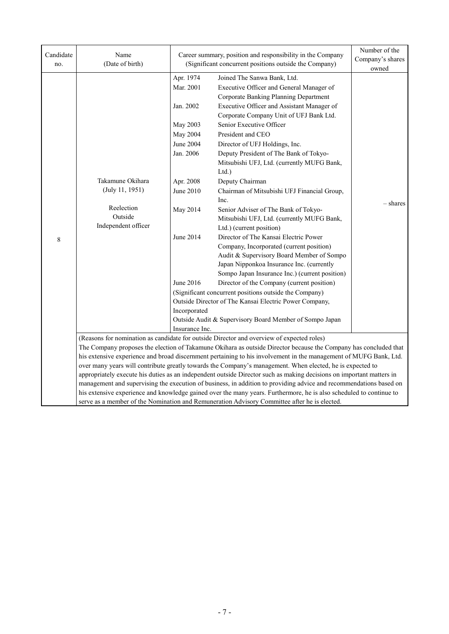| Candidate<br>no. | Name<br>(Date of birth)                                                                                                                                                                                                                                                                                                                                                                                                                                           | Career summary, position and responsibility in the Company<br>(Significant concurrent positions outside the Company)                                                                           |                                                                                                                                                                                                                                                                                                                                                                                                                                                                                                                                                                                                                                                                                                                                                                                                                                                                                                                                                                                                                                                         | Number of the<br>Company's shares<br>owned |  |
|------------------|-------------------------------------------------------------------------------------------------------------------------------------------------------------------------------------------------------------------------------------------------------------------------------------------------------------------------------------------------------------------------------------------------------------------------------------------------------------------|------------------------------------------------------------------------------------------------------------------------------------------------------------------------------------------------|---------------------------------------------------------------------------------------------------------------------------------------------------------------------------------------------------------------------------------------------------------------------------------------------------------------------------------------------------------------------------------------------------------------------------------------------------------------------------------------------------------------------------------------------------------------------------------------------------------------------------------------------------------------------------------------------------------------------------------------------------------------------------------------------------------------------------------------------------------------------------------------------------------------------------------------------------------------------------------------------------------------------------------------------------------|--------------------------------------------|--|
| 8                | Takamune Okihara<br>(July 11, 1951)<br>Reelection<br>Outside<br>Independent officer                                                                                                                                                                                                                                                                                                                                                                               | Apr. 1974<br>Mar. 2001<br>Jan. 2002<br>May 2003<br>May 2004<br><b>June 2004</b><br>Jan. 2006<br>Apr. 2008<br>June 2010<br>May 2014<br>June 2014<br>June 2016<br>Incorporated<br>Insurance Inc. | Joined The Sanwa Bank, Ltd.<br>Executive Officer and General Manager of<br>Corporate Banking Planning Department<br>Executive Officer and Assistant Manager of<br>Corporate Company Unit of UFJ Bank Ltd.<br>Senior Executive Officer<br>President and CEO<br>Director of UFJ Holdings, Inc.<br>Deputy President of The Bank of Tokyo-<br>Mitsubishi UFJ, Ltd. (currently MUFG Bank,<br>Ltd.)<br>Deputy Chairman<br>Chairman of Mitsubishi UFJ Financial Group,<br>Inc.<br>Senior Adviser of The Bank of Tokyo-<br>Mitsubishi UFJ, Ltd. (currently MUFG Bank,<br>Ltd.) (current position)<br>Director of The Kansai Electric Power<br>Company, Incorporated (current position)<br>Audit & Supervisory Board Member of Sompo<br>Japan Nipponkoa Insurance Inc. (currently<br>Sompo Japan Insurance Inc.) (current position)<br>Director of the Company (current position)<br>(Significant concurrent positions outside the Company)<br>Outside Director of The Kansai Electric Power Company,<br>Outside Audit & Supervisory Board Member of Sompo Japan | – shares                                   |  |
|                  | (Reasons for nomination as candidate for outside Director and overview of expected roles)<br>The Company proposes the election of Takamune Okihara as outside Director because the Company has concluded that<br>his extensive experience and broad discernment pertaining to his involvement in the management of MUFG Bank, Ltd.<br>over many years will contribute greatly towards the Company's management. When elected, he is expected to                   |                                                                                                                                                                                                |                                                                                                                                                                                                                                                                                                                                                                                                                                                                                                                                                                                                                                                                                                                                                                                                                                                                                                                                                                                                                                                         |                                            |  |
|                  | appropriately execute his duties as an independent outside Director such as making decisions on important matters in<br>management and supervising the execution of business, in addition to providing advice and recommendations based on<br>his extensive experience and knowledge gained over the many years. Furthermore, he is also scheduled to continue to<br>serve as a member of the Nomination and Remuneration Advisory Committee after he is elected. |                                                                                                                                                                                                |                                                                                                                                                                                                                                                                                                                                                                                                                                                                                                                                                                                                                                                                                                                                                                                                                                                                                                                                                                                                                                                         |                                            |  |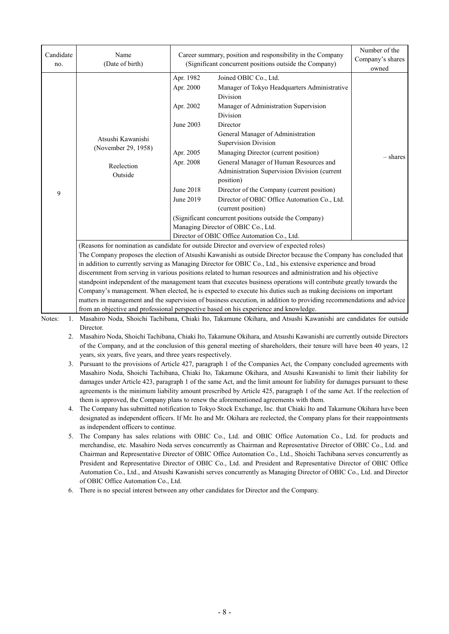| Candidate<br>no.   | Name<br>(Date of birth)                                                                                                                                                                                                                                                                                                                                                                                                                                                                                                                                                                                                                                                                                                                                                                                                                                                                                                                                                                                                                                                                                                                                                                                                                                                                                                                                                                                                                                                                                                                                                                                                                                                                                                                                                                                                                                             | Career summary, position and responsibility in the Company<br>(Significant concurrent positions outside the Company) |                                                                                                                                                                                                                                                                                                                                                                                                                                                                                                                                                                                                                                            | Number of the<br>Company's shares<br>owned |
|--------------------|---------------------------------------------------------------------------------------------------------------------------------------------------------------------------------------------------------------------------------------------------------------------------------------------------------------------------------------------------------------------------------------------------------------------------------------------------------------------------------------------------------------------------------------------------------------------------------------------------------------------------------------------------------------------------------------------------------------------------------------------------------------------------------------------------------------------------------------------------------------------------------------------------------------------------------------------------------------------------------------------------------------------------------------------------------------------------------------------------------------------------------------------------------------------------------------------------------------------------------------------------------------------------------------------------------------------------------------------------------------------------------------------------------------------------------------------------------------------------------------------------------------------------------------------------------------------------------------------------------------------------------------------------------------------------------------------------------------------------------------------------------------------------------------------------------------------------------------------------------------------|----------------------------------------------------------------------------------------------------------------------|--------------------------------------------------------------------------------------------------------------------------------------------------------------------------------------------------------------------------------------------------------------------------------------------------------------------------------------------------------------------------------------------------------------------------------------------------------------------------------------------------------------------------------------------------------------------------------------------------------------------------------------------|--------------------------------------------|
| 9                  | Atsushi Kawanishi<br>(November 29, 1958)<br>Reelection<br>Outside                                                                                                                                                                                                                                                                                                                                                                                                                                                                                                                                                                                                                                                                                                                                                                                                                                                                                                                                                                                                                                                                                                                                                                                                                                                                                                                                                                                                                                                                                                                                                                                                                                                                                                                                                                                                   | Apr. 1982<br>Apr. 2000<br>Apr. 2002<br>June 2003<br>Apr. 2005<br>Apr. 2008<br><b>June 2018</b><br>June 2019          | Joined OBIC Co., Ltd.<br>Manager of Tokyo Headquarters Administrative<br>Division<br>Manager of Administration Supervision<br>Division<br>Director<br>General Manager of Administration<br><b>Supervision Division</b><br>Managing Director (current position)<br>General Manager of Human Resources and<br>Administration Supervision Division (current<br>position)<br>Director of the Company (current position)<br>Director of OBIC Office Automation Co., Ltd.<br>(current position)<br>(Significant concurrent positions outside the Company)<br>Managing Director of OBIC Co., Ltd.<br>Director of OBIC Office Automation Co., Ltd. | – shares                                   |
| Notes:<br>1.<br>2. | (Reasons for nomination as candidate for outside Director and overview of expected roles)<br>The Company proposes the election of Atsushi Kawanishi as outside Director because the Company has concluded that<br>in addition to currently serving as Managing Director for OBIC Co., Ltd., his extensive experience and broad<br>discernment from serving in various positions related to human resources and administration and his objective<br>standpoint independent of the management team that executes business operations will contribute greatly towards the<br>Company's management. When elected, he is expected to execute his duties such as making decisions on important<br>matters in management and the supervision of business execution, in addition to providing recommendations and advice<br>from an objective and professional perspective based on his experience and knowledge.<br>Masahiro Noda, Shoichi Tachibana, Chiaki Ito, Takamune Okihara, and Atsushi Kawanishi are candidates for outside<br>Director.<br>Masahiro Noda, Shoichi Tachibana, Chiaki Ito, Takamune Okihara, and Atsushi Kawanishi are currently outside Directors<br>of the Company, and at the conclusion of this general meeting of shareholders, their tenure will have been 40 years, 12<br>years, six years, five years, and three years respectively.<br>3. Pursuant to the provisions of Article 427, paragraph 1 of the Companies Act, the Company concluded agreements with<br>Masahiro Noda, Shoichi Tachibana, Chiaki Ito, Takamune Okihara, and Atsushi Kawanishi to limit their liability for<br>damages under Article 423, paragraph 1 of the same Act, and the limit amount for liability for damages pursuant to these<br>agreements is the minimum liability amount prescribed by Article 425, paragraph 1 of the same Act. If the reelection of |                                                                                                                      |                                                                                                                                                                                                                                                                                                                                                                                                                                                                                                                                                                                                                                            |                                            |

- 4. The Company has submitted notification to Tokyo Stock Exchange, Inc. that Chiaki Ito and Takamune Okihara have been designated as independent officers. If Mr. Ito and Mr. Okihara are reelected, the Company plans for their reappointments as independent officers to continue.
- 5. The Company has sales relations with OBIC Co., Ltd. and OBIC Office Automation Co., Ltd. for products and merchandise, etc. Masahiro Noda serves concurrently as Chairman and Representative Director of OBIC Co., Ltd. and Chairman and Representative Director of OBIC Office Automation Co., Ltd., Shoichi Tachibana serves concurrently as President and Representative Director of OBIC Co., Ltd. and President and Representative Director of OBIC Office Automation Co., Ltd., and Atsushi Kawanishi serves concurrently as Managing Director of OBIC Co., Ltd. and Director of OBIC Office Automation Co., Ltd.
- 6. There is no special interest between any other candidates for Director and the Company.